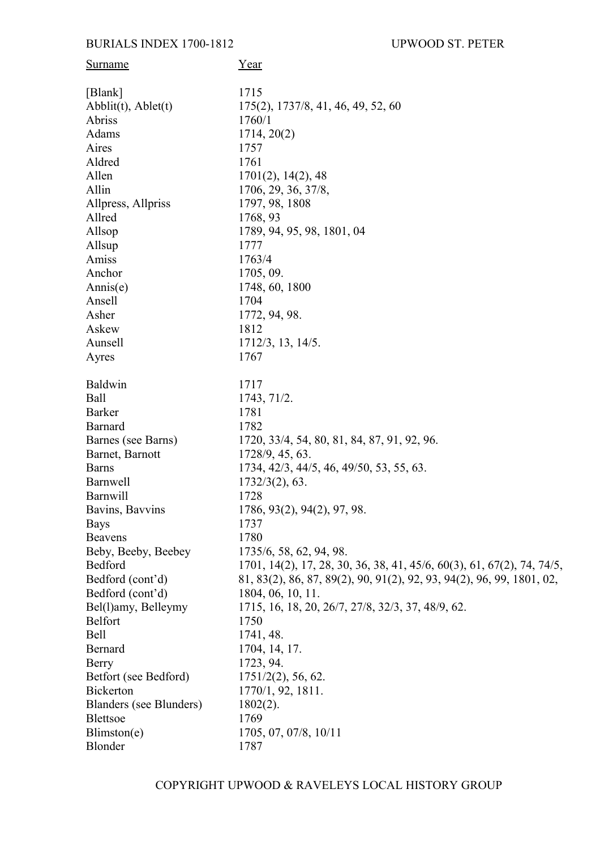## **BURIALS INDEX 1700-1812**

| Surname                                 | Year                                                                  |
|-----------------------------------------|-----------------------------------------------------------------------|
| [Blank]                                 | 1715                                                                  |
| $\text{Abblit}(t)$ , $\text{Abblet}(t)$ | 175(2), 1737/8, 41, 46, 49, 52, 60                                    |
| Abriss                                  | 1760/1                                                                |
| Adams                                   | 1714, 20(2)                                                           |
| Aires                                   | 1757                                                                  |
| Aldred                                  | 1761                                                                  |
| Allen                                   | 1701(2), 14(2), 48                                                    |
| Allin                                   | 1706, 29, 36, 37/8,                                                   |
| Allpress, Allpriss                      | 1797, 98, 1808                                                        |
| Allred                                  | 1768, 93                                                              |
| Allsop                                  | 1789, 94, 95, 98, 1801, 04                                            |
| Allsup                                  | 1777                                                                  |
| Amiss                                   | 1763/4                                                                |
| Anchor                                  | 1705, 09.                                                             |
| Annis(e)                                | 1748, 60, 1800                                                        |
| Ansell                                  | 1704                                                                  |
| Asher                                   | 1772, 94, 98.                                                         |
| Askew                                   | 1812                                                                  |
| Aunsell                                 | 1712/3, 13, 14/5.                                                     |
| Ayres                                   | 1767                                                                  |
| <b>Baldwin</b>                          | 1717                                                                  |
| Ball                                    | 1743, 71/2.                                                           |
| <b>Barker</b>                           | 1781                                                                  |
| <b>Barnard</b>                          | 1782                                                                  |
| Barnes (see Barns)                      | 1720, 33/4, 54, 80, 81, 84, 87, 91, 92, 96.                           |
| Barnet, Barnott                         | 1728/9, 45, 63.                                                       |
| <b>Barns</b>                            | 1734, 42/3, 44/5, 46, 49/50, 53, 55, 63.                              |
| <b>Barnwell</b>                         | $1732/3(2)$ , 63.                                                     |
| <b>Barnwill</b>                         | 1728                                                                  |
| Bavins, Bavvins                         | 1786, 93(2), 94(2), 97, 98.                                           |
| <b>Bays</b>                             | 1737                                                                  |
| <b>Beavens</b>                          | 1780                                                                  |
| Beby, Beeby, Beebey                     | 1735/6, 58, 62, 94, 98.                                               |
| Bedford                                 | 1701, 14(2), 17, 28, 30, 36, 38, 41, 45/6, 60(3), 61, 67(2), 74, 74/5 |
| Bedford (cont'd)                        | 81, 83(2), 86, 87, 89(2), 90, 91(2), 92, 93, 94(2), 96, 99, 1801, 02, |
| Bedford (cont'd)                        | 1804, 06, 10, 11.                                                     |
| Bel(1)amy, Belleymy                     | 1715, 16, 18, 20, 26/7, 27/8, 32/3, 37, 48/9, 62.                     |
| <b>Belfort</b>                          | 1750                                                                  |
| Bell                                    | 1741, 48.                                                             |
| Bernard                                 | 1704, 14, 17.                                                         |
| <b>Berry</b>                            | 1723, 94.                                                             |
| Betfort (see Bedford)                   | $1751/2(2)$ , 56, 62.                                                 |
| <b>Bickerton</b>                        | 1770/1, 92, 1811.                                                     |
| Blanders (see Blunders)                 | $1802(2)$ .                                                           |
| <b>Blettsoe</b>                         | 1769                                                                  |
| Blimston(e)                             | 1705, 07, 07/8, 10/11                                                 |
| Blonder                                 | 1787                                                                  |
|                                         |                                                                       |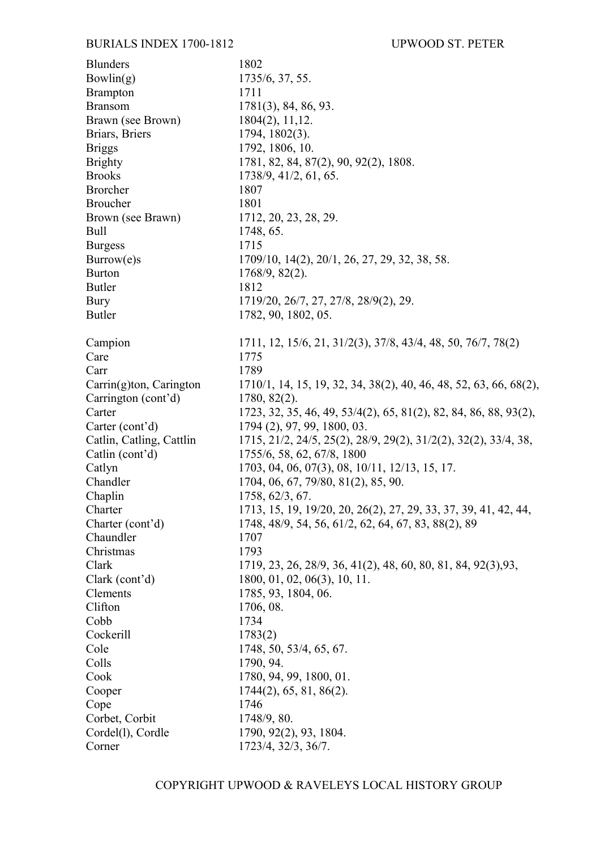| <b>Blunders</b>          | 1802                                                              |
|--------------------------|-------------------------------------------------------------------|
| Bowlin(g)                | 1735/6, 37, 55.                                                   |
| <b>Brampton</b>          | 1711                                                              |
| <b>Bransom</b>           | $1781(3)$ , 84, 86, 93.                                           |
| Brawn (see Brown)        | 1804(2), 11, 12.                                                  |
| Briars, Briers           | 1794, 1802(3).                                                    |
| <b>Briggs</b>            | 1792, 1806, 10.                                                   |
| <b>Brighty</b>           | 1781, 82, 84, 87(2), 90, 92(2), 1808.                             |
| <b>Brooks</b>            | 1738/9, 41/2, 61, 65.                                             |
| <b>Brorcher</b>          | 1807                                                              |
| <b>Broucher</b>          | 1801                                                              |
| Brown (see Brawn)        | 1712, 20, 23, 28, 29.                                             |
| <b>Bull</b>              | 1748, 65.                                                         |
| <b>Burgess</b>           | 1715                                                              |
| Burrow(e)s               | 1709/10, 14(2), 20/1, 26, 27, 29, 32, 38, 58.                     |
| <b>Burton</b>            | $1768/9, 82(2)$ .                                                 |
| Butler                   | 1812                                                              |
| <b>Bury</b>              | 1719/20, 26/7, 27, 27/8, 28/9(2), 29.                             |
| Butler                   | 1782, 90, 1802, 05.                                               |
|                          |                                                                   |
| Campion                  | 1711, 12, 15/6, 21, 31/2(3), 37/8, 43/4, 48, 50, 76/7, 78(2)      |
| Care                     | 1775                                                              |
| Carr                     | 1789                                                              |
| Carrin(g)ton, Carington  | 1710/1, 14, 15, 19, 32, 34, 38(2), 40, 46, 48, 52, 63, 66, 68(2), |
| Carrington (cont'd)      | $1780, 82(2)$ .                                                   |
| Carter                   | 1723, 32, 35, 46, 49, 53/4(2), 65, 81(2), 82, 84, 86, 88, 93(2),  |
| Carter (cont'd)          | 1794 (2), 97, 99, 1800, 03.                                       |
| Catlin, Catling, Cattlin | 1715, 21/2, 24/5, 25(2), 28/9, 29(2), 31/2(2), 32(2), 33/4, 38,   |
| Catlin (cont'd)          | 1755/6, 58, 62, 67/8, 1800                                        |
| Catlyn                   | 1703, 04, 06, 07(3), 08, 10/11, 12/13, 15, 17.                    |
| Chandler                 | 1704, 06, 67, 79/80, 81(2), 85, 90.                               |
| Chaplin                  | 1758, 62/3, 67.                                                   |
| Charter                  | 1713, 15, 19, 19/20, 20, 26(2), 27, 29, 33, 37, 39, 41, 42, 44,   |
| Charter (cont'd)         | 1748, 48/9, 54, 56, 61/2, 62, 64, 67, 83, 88(2), 89               |
| Chaundler                | 1707                                                              |
| Christmas                | 1793                                                              |
|                          |                                                                   |
| Clark                    | 1719, 23, 26, 28/9, 36, 41(2), 48, 60, 80, 81, 84, 92(3), 93,     |
| Clark (cont'd)           | 1800, 01, 02, 06(3), 10, 11.                                      |
| Clements                 | 1785, 93, 1804, 06.                                               |
| Clifton                  | 1706, 08.                                                         |
| Cobb                     | 1734                                                              |
| Cockerill                | 1783(2)                                                           |
| Cole                     | 1748, 50, 53/4, 65, 67.                                           |
| Colls                    | 1790, 94.                                                         |
| Cook                     | 1780, 94, 99, 1800, 01.                                           |
| Cooper                   | 1744(2), 65, 81, 86(2).                                           |
| Cope                     | 1746                                                              |
| Corbet, Corbit           | 1748/9, 80.                                                       |
| Cordel(1), Cordle        | 1790, 92(2), 93, 1804.                                            |
| Corner                   | 1723/4, 32/3, 36/7.                                               |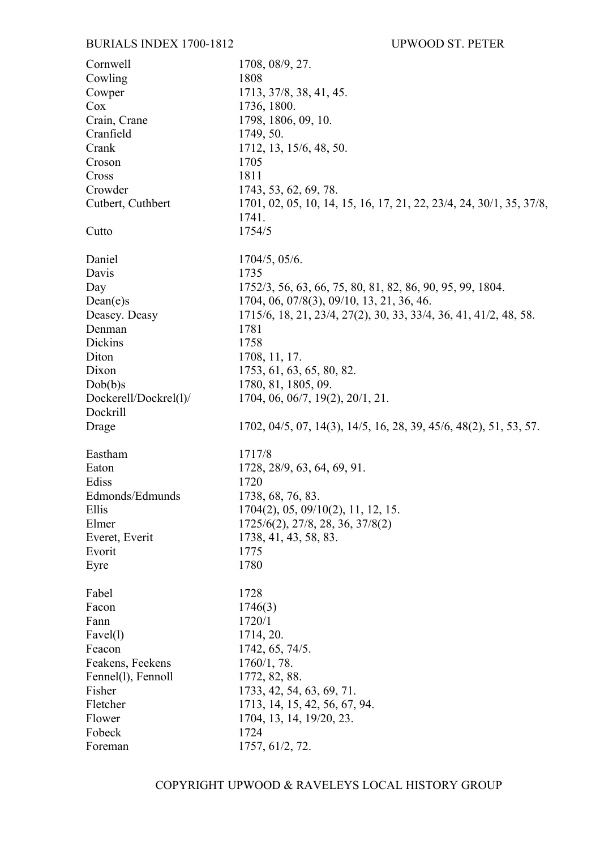| Cornwell              | 1708, 08/9, 27.                                                     |
|-----------------------|---------------------------------------------------------------------|
| Cowling               | 1808                                                                |
| Cowper                | 1713, 37/8, 38, 41, 45.                                             |
| Cox                   | 1736, 1800.                                                         |
| Crain, Crane          | 1798, 1806, 09, 10.                                                 |
| Cranfield             | 1749, 50.                                                           |
| Crank                 | 1712, 13, 15/6, 48, 50.                                             |
| Croson                | 1705                                                                |
| Cross                 | 1811                                                                |
| Crowder               | 1743, 53, 62, 69, 78.                                               |
| Cutbert, Cuthbert     | 1701, 02, 05, 10, 14, 15, 16, 17, 21, 22, 23/4, 24, 30/1, 35, 37/8, |
|                       | 1741.                                                               |
| Cutto                 | 1754/5                                                              |
| Daniel                | 1704/5, 05/6.                                                       |
| Davis                 | 1735                                                                |
| Day                   | 1752/3, 56, 63, 66, 75, 80, 81, 82, 86, 90, 95, 99, 1804.           |
| Dean(e)s              | 1704, 06, 07/8(3), 09/10, 13, 21, 36, 46.                           |
| Deasey. Deasy         | 1715/6, 18, 21, 23/4, 27(2), 30, 33, 33/4, 36, 41, 41/2, 48, 58.    |
| Denman                | 1781                                                                |
| Dickins               | 1758                                                                |
| Diton                 | 1708, 11, 17.                                                       |
| Dixon                 | 1753, 61, 63, 65, 80, 82.                                           |
| Dob(b)s               | 1780, 81, 1805, 09.                                                 |
| Dockerell/Dockrel(1)/ | 1704, 06, 06/7, 19(2), 20/1, 21.                                    |
| Dockrill              |                                                                     |
| Drage                 | 1702, 04/5, 07, 14(3), 14/5, 16, 28, 39, 45/6, 48(2), 51, 53, 57.   |
|                       |                                                                     |
| Eastham               | 1717/8                                                              |
| Eaton                 | 1728, 28/9, 63, 64, 69, 91.                                         |
| Ediss                 | 1720                                                                |
| Edmonds/Edmunds       | 1738, 68, 76, 83.                                                   |
| Ellis                 | 1704(2), 05, 09/10(2), 11, 12, 15.                                  |
| Elmer                 | 1725/6(2), 27/8, 28, 36, 37/8(2)                                    |
| Everet, Everit        | 1738, 41, 43, 58, 83.                                               |
| Evorit                | 1775                                                                |
|                       | 1780                                                                |
| Eyre                  |                                                                     |
| Fabel                 | 1728                                                                |
| Facon                 | 1746(3)                                                             |
|                       |                                                                     |
| Fann                  | 1720/1                                                              |
| Favel(1)              | 1714, 20.                                                           |
| Feacon                | 1742, 65, 74/5.                                                     |
| Feakens, Feekens      | 1760/1, 78.                                                         |
| Fennel(1), Fennoll    | 1772, 82, 88.                                                       |
| Fisher                | 1733, 42, 54, 63, 69, 71.                                           |
| Fletcher              | 1713, 14, 15, 42, 56, 67, 94.                                       |
| Flower                | 1704, 13, 14, 19/20, 23.                                            |
| Fobeck                | 1724                                                                |
| Foreman               | 1757, 61/2, 72.                                                     |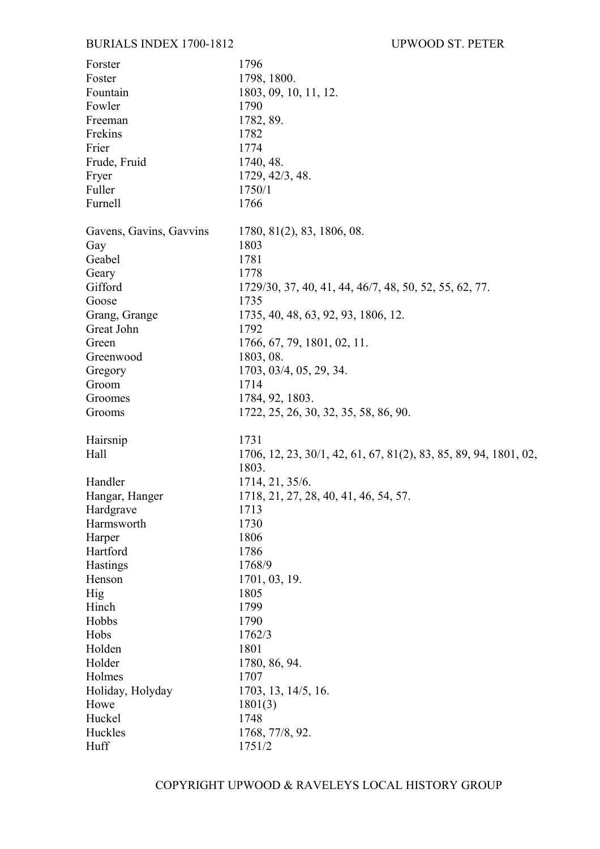## BURIALS INDEX 1700-1812 UPWOOD ST. PETER

| Forster                 | 1796                                                             |
|-------------------------|------------------------------------------------------------------|
| Foster                  | 1798, 1800.                                                      |
| Fountain                | 1803, 09, 10, 11, 12.                                            |
| Fowler                  | 1790                                                             |
| Freeman                 | 1782, 89.                                                        |
| Frekins                 | 1782                                                             |
| Frier                   | 1774                                                             |
| Frude, Fruid            | 1740, 48.                                                        |
| Fryer                   | 1729, 42/3, 48.                                                  |
| Fuller                  | 1750/1                                                           |
| Furnell                 | 1766                                                             |
| Gavens, Gavins, Gavvins | 1780, 81(2), 83, 1806, 08.                                       |
| Gay                     | 1803                                                             |
| Geabel                  | 1781                                                             |
| Geary                   | 1778                                                             |
| Gifford                 | 1729/30, 37, 40, 41, 44, 46/7, 48, 50, 52, 55, 62, 77.           |
| Goose                   | 1735                                                             |
| Grang, Grange           | 1735, 40, 48, 63, 92, 93, 1806, 12.                              |
| Great John              | 1792                                                             |
| Green                   | 1766, 67, 79, 1801, 02, 11.                                      |
| Greenwood               | 1803, 08.                                                        |
| Gregory                 | 1703, 03/4, 05, 29, 34.                                          |
| Groom                   | 1714                                                             |
| Groomes                 | 1784, 92, 1803.                                                  |
| Grooms                  | 1722, 25, 26, 30, 32, 35, 58, 86, 90.                            |
| Hairsnip                | 1731                                                             |
| Hall                    | 1706, 12, 23, 30/1, 42, 61, 67, 81(2), 83, 85, 89, 94, 1801, 02, |
|                         | 1803.                                                            |
| Handler                 | 1714, 21, 35/6.                                                  |
| Hangar, Hanger          | 1718, 21, 27, 28, 40, 41, 46, 54, 57.                            |
| Hardgrave               | 1713                                                             |
| Harmsworth              | 1730                                                             |
| Harper                  | 1806                                                             |
| Hartford                | 1786                                                             |
| Hastings                | 1768/9                                                           |
| Henson                  | 1701, 03, 19.                                                    |
| Hig                     | 1805                                                             |
| Hinch                   | 1799                                                             |
| Hobbs                   | 1790                                                             |
| Hobs                    | 1762/3                                                           |
| Holden                  | 1801                                                             |
| Holder                  | 1780, 86, 94.                                                    |
| Holmes                  | 1707                                                             |
| Holiday, Holyday        | 1703, 13, 14/5, 16.                                              |
| Howe                    | 1801(3)                                                          |
| Huckel                  | 1748                                                             |
| Huckles                 | 1768, 77/8, 92.                                                  |
| Huff                    | 1751/2                                                           |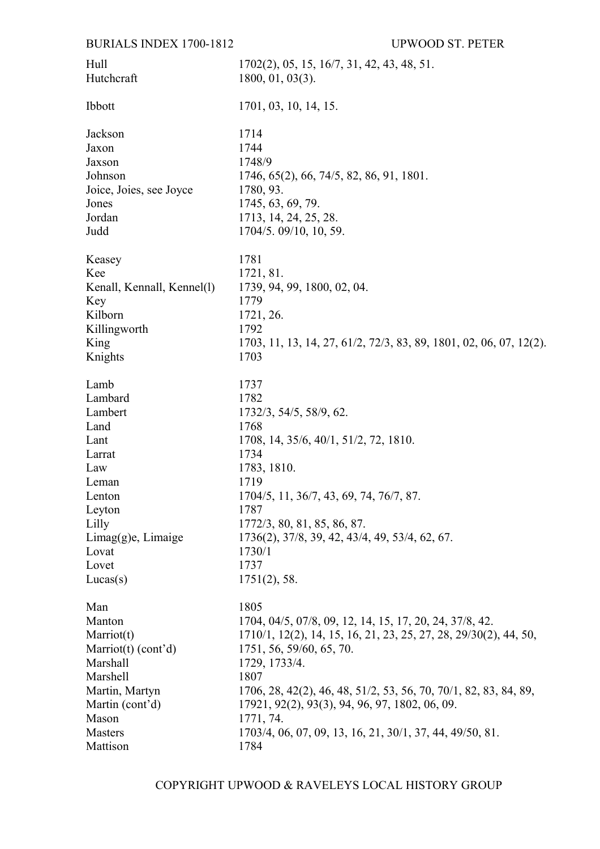## **BURIALS INDEX 1700-1812**

| Hull                       | $1702(2)$ , 05, 15, 16/7, 31, 42, 43, 48, 51.                      |
|----------------------------|--------------------------------------------------------------------|
| Hutchcraft                 | $1800, 01, 03(3)$ .                                                |
| Ibbott                     | 1701, 03, 10, 14, 15.                                              |
| Jackson                    | 1714                                                               |
| Jaxon                      | 1744                                                               |
| Jaxson                     | 1748/9                                                             |
| Johnson                    | 1746, 65(2), 66, 74/5, 82, 86, 91, 1801.                           |
| Joice, Joies, see Joyce    | 1780, 93.                                                          |
| Jones                      | 1745, 63, 69, 79.                                                  |
| Jordan                     | 1713, 14, 24, 25, 28.                                              |
| Judd                       | 1704/5.09/10, 10, 59.                                              |
| Keasey                     | 1781                                                               |
| Kee                        | 1721, 81.                                                          |
| Kenall, Kennall, Kennel(1) | 1739, 94, 99, 1800, 02, 04.                                        |
| Key                        | 1779                                                               |
| Kilborn                    | 1721, 26.                                                          |
| Killingworth               | 1792                                                               |
| King                       | 1703, 11, 13, 14, 27, 61/2, 72/3, 83, 89, 1801, 02, 06, 07, 12(2). |
| Knights                    | 1703                                                               |
| Lamb                       | 1737                                                               |
| Lambard                    | 1782                                                               |
| Lambert                    | 1732/3, 54/5, 58/9, 62.                                            |
| Land                       | 1768                                                               |
| Lant                       | 1708, 14, 35/6, 40/1, 51/2, 72, 1810.                              |
| Larrat                     | 1734                                                               |
| Law                        | 1783, 1810.                                                        |
| Leman                      | 1719                                                               |
| Lenton                     | 1704/5, 11, 36/7, 43, 69, 74, 76/7, 87.                            |
| Leyton                     | 1787                                                               |
| Lilly                      | 1772/3, 80, 81, 85, 86, 87.                                        |
| Limage(g)e, Limage         | 1736(2), 37/8, 39, 42, 43/4, 49, 53/4, 62, 67.                     |
| Lovat                      | 1730/1                                                             |
| Lovet                      | 1737                                                               |
| Lucas(s)                   | $1751(2)$ , 58.                                                    |
| Man                        | 1805                                                               |
| Manton                     | 1704, 04/5, 07/8, 09, 12, 14, 15, 17, 20, 24, 37/8, 42.            |
| Marriot(t)                 | 1710/1, 12(2), 14, 15, 16, 21, 23, 25, 27, 28, 29/30(2), 44, 50,   |
| Marriot $(t)$ (cont'd)     | 1751, 56, 59/60, 65, 70.                                           |
| Marshall                   | 1729, 1733/4.                                                      |
| Marshell                   | 1807                                                               |
| Martin, Martyn             | 1706, 28, 42(2), 46, 48, 51/2, 53, 56, 70, 70/1, 82, 83, 84, 89,   |
| Martin (cont'd)            | 17921, 92(2), 93(3), 94, 96, 97, 1802, 06, 09.                     |
| Mason                      | 1771, 74.                                                          |
| Masters                    | 1703/4, 06, 07, 09, 13, 16, 21, 30/1, 37, 44, 49/50, 81.           |
| Mattison                   | 1784                                                               |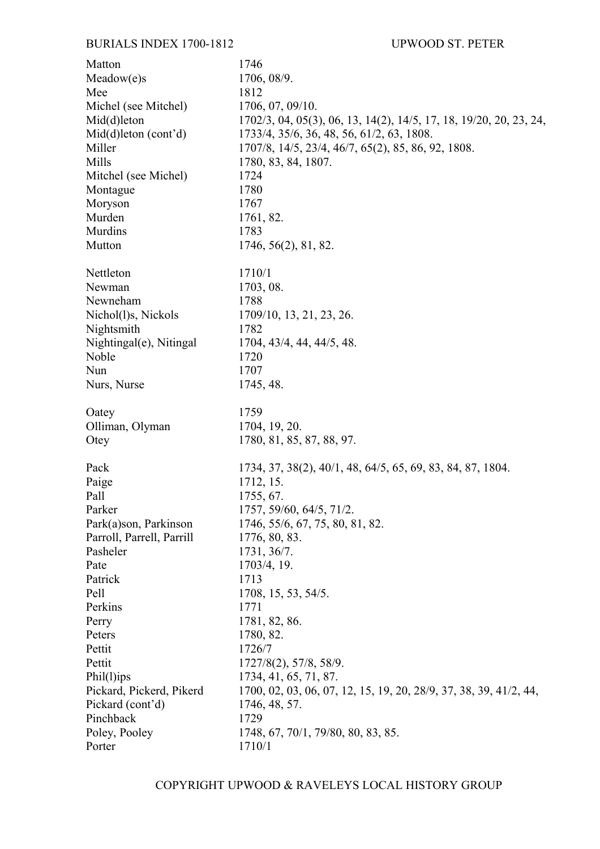| Matton                    | 1746                                                               |
|---------------------------|--------------------------------------------------------------------|
| Meadow(e)s                | 1706, 08/9.                                                        |
| Mee                       | 1812                                                               |
| Michel (see Mitchel)      | 1706, 07, 09/10.                                                   |
| $Mid(d)$ leton            | 1702/3, 04, 05(3), 06, 13, 14(2), 14/5, 17, 18, 19/20, 20, 23, 24, |
| $Mid(d)$ leton (cont'd)   | 1733/4, 35/6, 36, 48, 56, 61/2, 63, 1808.                          |
| Miller                    | 1707/8, 14/5, 23/4, 46/7, 65(2), 85, 86, 92, 1808.                 |
| Mills                     | 1780, 83, 84, 1807.                                                |
| Mitchel (see Michel)      | 1724                                                               |
| Montague                  | 1780                                                               |
| Moryson                   | 1767                                                               |
| Murden                    | 1761, 82.                                                          |
| Murdins                   | 1783                                                               |
| Mutton                    | 1746, 56(2), 81, 82.                                               |
| Nettleton                 | 1710/1                                                             |
| Newman                    | 1703, 08.                                                          |
| Newneham                  | 1788                                                               |
| Nichol(1)s, Nickols       | 1709/10, 13, 21, 23, 26.                                           |
| Nightsmith                | 1782                                                               |
| Nightingal(e), Nitingal   | 1704, 43/4, 44, 44/5, 48.                                          |
| Noble                     | 1720                                                               |
| Nun                       | 1707                                                               |
| Nurs, Nurse               | 1745, 48.                                                          |
| Oatey                     | 1759                                                               |
| Olliman, Olyman           | 1704, 19, 20.                                                      |
| Otey                      | 1780, 81, 85, 87, 88, 97.                                          |
| Pack                      | 1734, 37, 38(2), 40/1, 48, 64/5, 65, 69, 83, 84, 87, 1804.         |
| Paige                     | 1712, 15.                                                          |
| Pall                      | 1755, 67.                                                          |
| Parker                    | 1757, 59/60, 64/5, 71/2.                                           |
| Park(a)son, Parkinson     | 1746, 55/6, 67, 75, 80, 81, 82.                                    |
| Parroll, Parrell, Parrill | 1776, 80, 83.                                                      |
| Pasheler                  | 1731, 36/7.                                                        |
| Pate                      | 1703/4, 19.                                                        |
| Patrick                   | 1713                                                               |
| Pell                      | 1708, 15, 53, 54/5.                                                |
| Perkins                   | 1771                                                               |
| Perry                     | 1781, 82, 86.                                                      |
| Peters                    | 1780, 82.                                                          |
| Pettit                    | 1726/7                                                             |
| Pettit                    | 1727/8(2), 57/8, 58/9.                                             |
| Phil(1)ips                | 1734, 41, 65, 71, 87.                                              |
| Pickard, Pickerd, Pikerd  | 1700, 02, 03, 06, 07, 12, 15, 19, 20, 28/9, 37, 38, 39, 41/2, 44,  |
| Pickard (cont'd)          | 1746, 48, 57.                                                      |
| Pinchback                 | 1729                                                               |
| Poley, Pooley             | 1748, 67, 70/1, 79/80, 80, 83, 85.                                 |
| Porter                    | 1710/1                                                             |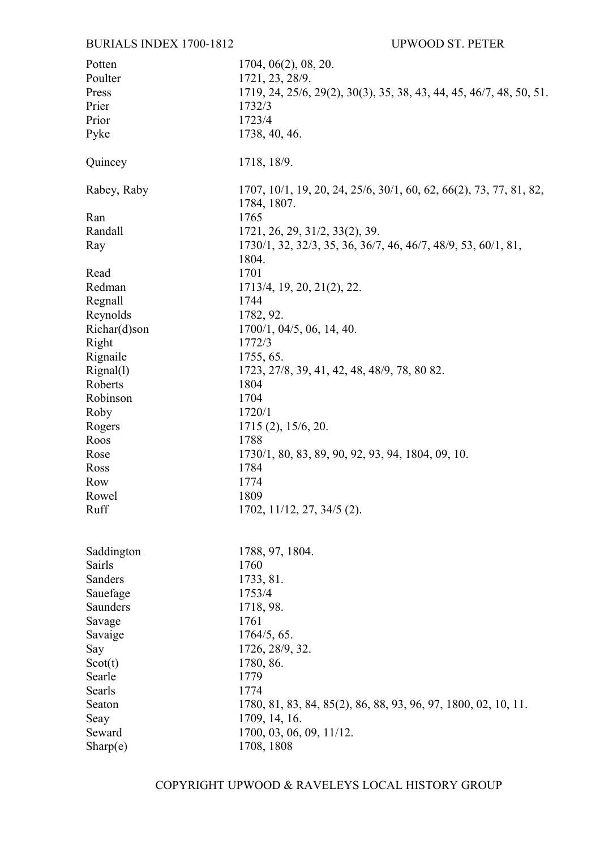## **BURIALS INDEX 1700-1812**

| Potten       | 1704, 06(2), 08, 20.                                                              |
|--------------|-----------------------------------------------------------------------------------|
| Poulter      | 1721, 23, 28/9.                                                                   |
| Press        | 1719, 24, 25/6, 29(2), 30(3), 35, 38, 43, 44, 45, 46/7, 48, 50, 51.               |
| Prier        | 1732/3                                                                            |
| Prior        | 1723/4                                                                            |
| Pyke         | 1738, 40, 46.                                                                     |
|              |                                                                                   |
| Quincey      | 1718, 18/9.                                                                       |
| Rabey, Raby  | 1707, 10/1, 19, 20, 24, 25/6, 30/1, 60, 62, 66(2), 73, 77, 81, 82,<br>1784, 1807. |
| Ran          | 1765                                                                              |
| Randall      | 1721, 26, 29, 31/2, 33(2), 39.                                                    |
| Ray          | 1730/1, 32, 32/3, 35, 36, 36/7, 46, 46/7, 48/9, 53, 60/1, 81,<br>1804.            |
| Read         | 1701                                                                              |
| Redman       | 1713/4, 19, 20, 21(2), 22.                                                        |
| Regnall      | 1744                                                                              |
| Reynolds     | 1782, 92.                                                                         |
| Richar(d)son | 1700/1, 04/5, 06, 14, 40.                                                         |
| Right        | 1772/3                                                                            |
| Rignaile     | 1755, 65.                                                                         |
| Rignal(1)    | 1723, 27/8, 39, 41, 42, 48, 48/9, 78, 80 82.                                      |
| Roberts      | 1804                                                                              |
| Robinson     | 1704                                                                              |
| Roby         | 1720/1                                                                            |
| Rogers       | $1715(2)$ , $15/6$ , 20.                                                          |
| Roos         | 1788                                                                              |
| Rose         | 1730/1, 80, 83, 89, 90, 92, 93, 94, 1804, 09, 10.                                 |
| Ross         | 1784                                                                              |
| Row          | 1774                                                                              |
| Rowel        | 1809                                                                              |
| Ruff         | $1702, 11/12, 27, 34/5$ (2).                                                      |
|              |                                                                                   |
| Saddington   | 1788, 97, 1804.                                                                   |
| Sairls       | 1760                                                                              |
| Sanders      | 1733, 81.                                                                         |
| Sauefage     | 1753/4                                                                            |
| Saunders     | 1718, 98.                                                                         |
| Savage       | 1761                                                                              |
| Savaige      | 1764/5, 65.                                                                       |
| Say          | 1726, 28/9, 32.                                                                   |
| Scott(t)     | 1780, 86.                                                                         |
| Searle       | 1779                                                                              |
| Searls       | 1774                                                                              |
| Seaton       | 1780, 81, 83, 84, 85(2), 86, 88, 93, 96, 97, 1800, 02, 10, 11.                    |
| Seay         | 1709, 14, 16.                                                                     |
| Seward       | 1700, 03, 06, 09, 11/12.                                                          |
|              | 1708, 1808                                                                        |
| Sharp(e)     |                                                                                   |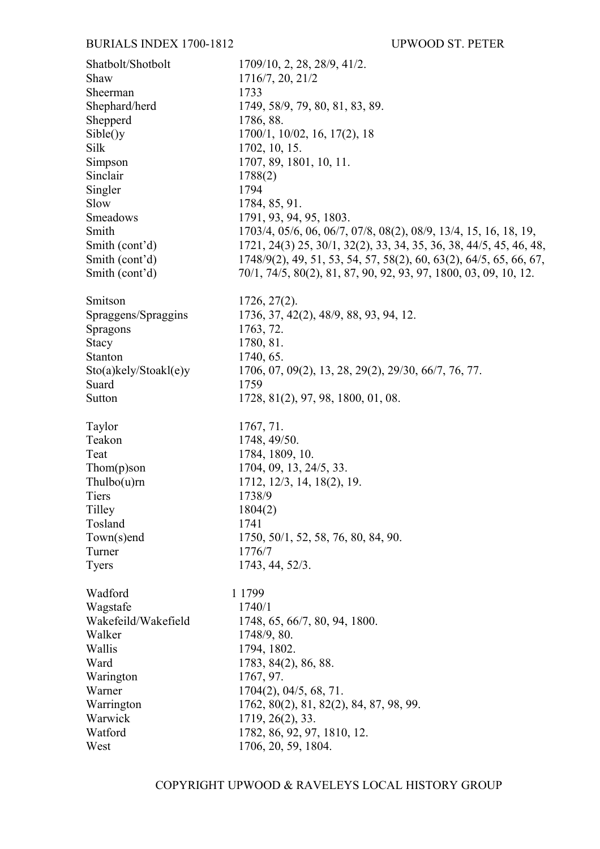| Shatbolt/Shotbolt            | 1709/10, 2, 28, 28/9, 41/2.                                        |
|------------------------------|--------------------------------------------------------------------|
| Shaw                         | 1716/7, 20, 21/2                                                   |
| Sheerman                     | 1733                                                               |
| Shephard/herd                | 1749, 58/9, 79, 80, 81, 83, 89.                                    |
| Shepperd                     | 1786, 88.                                                          |
| Sible()y                     | $1700/1$ , $10/02$ , $16$ , $17(2)$ , $18$                         |
| Silk                         | 1702, 10, 15.                                                      |
| Simpson                      | 1707, 89, 1801, 10, 11.                                            |
| Sinclair                     | 1788(2)                                                            |
| Singler                      | 1794                                                               |
| Slow                         | 1784, 85, 91.                                                      |
| Smeadows                     | 1791, 93, 94, 95, 1803.                                            |
| Smith                        | 1703/4, 05/6, 06, 06/7, 07/8, 08(2), 08/9, 13/4, 15, 16, 18, 19,   |
| Smith (cont'd)               | 1721, 24(3) 25, 30/1, 32(2), 33, 34, 35, 36, 38, 44/5, 45, 46, 48, |
| Smith (cont'd)               | 1748/9(2), 49, 51, 53, 54, 57, 58(2), 60, 63(2), 64/5, 65, 66, 67, |
| Smith (cont'd)               | 70/1, 74/5, 80(2), 81, 87, 90, 92, 93, 97, 1800, 03, 09, 10, 12.   |
|                              |                                                                    |
| Smitson                      | $1726, 27(2)$ .                                                    |
| Spraggens/Spraggins          | 1736, 37, 42(2), 48/9, 88, 93, 94, 12.                             |
| Spragons                     | 1763, 72.                                                          |
| <b>Stacy</b>                 | 1780, 81.                                                          |
| Stanton                      | 1740, 65.                                                          |
| $Sto(a)$ kely/Stoakl $(e)$ y | 1706, 07, 09(2), 13, 28, 29(2), 29/30, 66/7, 76, 77.               |
| Suard                        | 1759                                                               |
| Sutton                       | 1728, 81(2), 97, 98, 1800, 01, 08.                                 |
|                              |                                                                    |
| Taylor                       | 1767, 71.                                                          |
| Teakon                       | 1748, 49/50.                                                       |
| Teat                         | 1784, 1809, 10.                                                    |
| $Thom(p)$ son                | 1704, 09, 13, 24/5, 33.                                            |
| Thulbo(u)rn                  | 1712, 12/3, 14, 18(2), 19.                                         |
| Tiers                        | 1738/9                                                             |
| Tilley                       | 1804(2)                                                            |
| Tosland                      | 1741                                                               |
| Town(s)end                   | 1750, 50/1, 52, 58, 76, 80, 84, 90.                                |
| Turner                       | 1776/7                                                             |
| <b>Tyers</b>                 | 1743, 44, 52/3.                                                    |
|                              |                                                                    |
| Wadford                      | 1 1 7 9 9                                                          |
| Wagstafe                     | 1740/1                                                             |
| Wakefeild/Wakefield          | 1748, 65, 66/7, 80, 94, 1800.                                      |
| Walker                       | 1748/9, 80.                                                        |
| Wallis                       | 1794, 1802.                                                        |
| Ward                         | 1783, 84(2), 86, 88.                                               |
| Warington                    | 1767, 97.                                                          |
| Warner                       | $1704(2)$ , 04/5, 68, 71.                                          |
| Warrington                   | 1762, 80(2), 81, 82(2), 84, 87, 98, 99.                            |
| Warwick                      | 1719, 26(2), 33.                                                   |
| Watford                      | 1782, 86, 92, 97, 1810, 12.                                        |
| West                         | 1706, 20, 59, 1804.                                                |